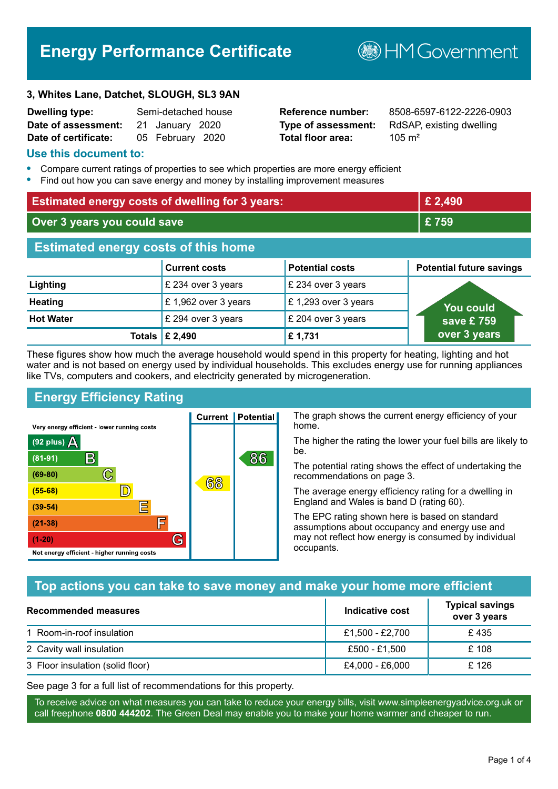# **Energy Performance Certificate**

#### **3, Whites Lane, Datchet, SLOUGH, SL3 9AN**

| <b>Dwelling type:</b> | Semi-detached house |  |
|-----------------------|---------------------|--|
| Date of assessment:   | 21 January 2020     |  |
| Date of certificate:  | 05 February 2020    |  |

# **Total floor area:** 105 m<sup>2</sup>

**Reference number:** 8508-6597-6122-2226-0903 **Type of assessment:** RdSAP, existing dwelling

**B**HM Government

#### **Use this document to:**

- **•** Compare current ratings of properties to see which properties are more energy efficient
- **•** Find out how you can save energy and money by installing improvement measures

| <b>Estimated energy costs of dwelling for 3 years:</b> |                      |                        | £ 2,490                         |
|--------------------------------------------------------|----------------------|------------------------|---------------------------------|
| Over 3 years you could save                            |                      | £759                   |                                 |
| <b>Estimated energy costs of this home</b>             |                      |                        |                                 |
|                                                        | <b>Current costs</b> | <b>Potential costs</b> | <b>Potential future savings</b> |
| Lighting                                               | £ 234 over 3 years   | £ 234 over 3 years     |                                 |
| <b>Heating</b>                                         | £1,962 over 3 years  | £1,293 over 3 years    | You could                       |
| <b>Hot Water</b>                                       | £ 294 over 3 years   | £ 204 over 3 years     | save £ $759$                    |
| <b>Totals</b>                                          | £ 2,490              | £1,731                 | over 3 years                    |

These figures show how much the average household would spend in this property for heating, lighting and hot water and is not based on energy used by individual households. This excludes energy use for running appliances like TVs, computers and cookers, and electricity generated by microgeneration.

**Current | Potential** 

68

# **Energy Efficiency Rating**

 $\mathbb{C}$ 

 $\mathbb{D}$ 

E

E

G

Very energy efficient - lower running costs

 $\mathsf{R}% _{T}$ 

Not energy efficient - higher running costs

(92 plus)  $\Delta$ 

 $(81 - 91)$ 

 $(69 - 80)$ 

 $(55-68)$ 

 $(39 - 54)$  $(21-38)$ 

 $(1-20)$ 

The graph shows the current energy efficiency of your home.

The higher the rating the lower your fuel bills are likely to be.

The potential rating shows the effect of undertaking the recommendations on page 3.

The average energy efficiency rating for a dwelling in England and Wales is band D (rating 60).

The EPC rating shown here is based on standard assumptions about occupancy and energy use and may not reflect how energy is consumed by individual occupants.

## **Top actions you can take to save money and make your home more efficient**

86

| <b>Recommended measures</b>      | Indicative cost | <b>Typical savings</b><br>over 3 years |
|----------------------------------|-----------------|----------------------------------------|
| 1 Room-in-roof insulation        | £1,500 - £2,700 | £ 435                                  |
| 2 Cavity wall insulation         | £500 - £1,500   | £ 108                                  |
| 3 Floor insulation (solid floor) | £4,000 - £6,000 | £126                                   |

See page 3 for a full list of recommendations for this property.

To receive advice on what measures you can take to reduce your energy bills, visit www.simpleenergyadvice.org.uk or call freephone **0800 444202**. The Green Deal may enable you to make your home warmer and cheaper to run.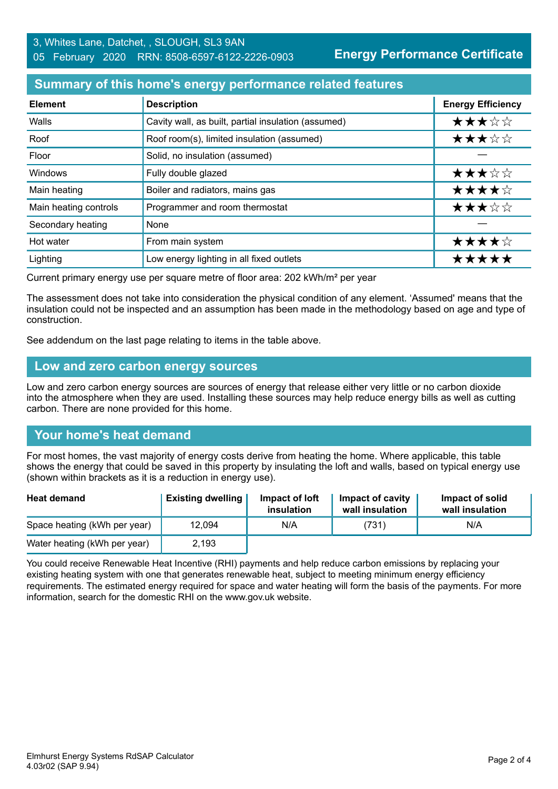**Energy Performance Certificate**

#### **Summary of this home's energy performance related features**

| <b>Element</b>        | <b>Description</b>                                  | <b>Energy Efficiency</b> |
|-----------------------|-----------------------------------------------------|--------------------------|
| Walls                 | Cavity wall, as built, partial insulation (assumed) | ★★★☆☆                    |
| Roof                  | Roof room(s), limited insulation (assumed)          | ★★★☆☆                    |
| Floor                 | Solid, no insulation (assumed)                      |                          |
| Windows               | Fully double glazed                                 | ★★★☆☆                    |
| Main heating          | Boiler and radiators, mains gas                     | ★★★★☆                    |
| Main heating controls | Programmer and room thermostat                      | ★★★☆☆                    |
| Secondary heating     | None                                                |                          |
| Hot water             | From main system                                    | ★★★★☆                    |
| Lighting              | Low energy lighting in all fixed outlets            | *****                    |

Current primary energy use per square metre of floor area: 202 kWh/m² per year

The assessment does not take into consideration the physical condition of any element. 'Assumed' means that the insulation could not be inspected and an assumption has been made in the methodology based on age and type of construction.

See addendum on the last page relating to items in the table above.

#### **Low and zero carbon energy sources**

Low and zero carbon energy sources are sources of energy that release either very little or no carbon dioxide into the atmosphere when they are used. Installing these sources may help reduce energy bills as well as cutting carbon. There are none provided for this home.

## **Your home's heat demand**

For most homes, the vast majority of energy costs derive from heating the home. Where applicable, this table shows the energy that could be saved in this property by insulating the loft and walls, based on typical energy use (shown within brackets as it is a reduction in energy use).

| <b>Heat demand</b>           | <b>Existing dwelling</b> | Impact of loft<br>insulation | Impact of cavity<br>wall insulation | Impact of solid<br>wall insulation |
|------------------------------|--------------------------|------------------------------|-------------------------------------|------------------------------------|
| Space heating (kWh per year) | 12,094                   | N/A                          | (731)                               | N/A                                |
| Water heating (kWh per year) | 2,193                    |                              |                                     |                                    |

You could receive Renewable Heat Incentive (RHI) payments and help reduce carbon emissions by replacing your existing heating system with one that generates renewable heat, subject to meeting minimum energy efficiency requirements. The estimated energy required for space and water heating will form the basis of the payments. For more information, search for the domestic RHI on the www.gov.uk website.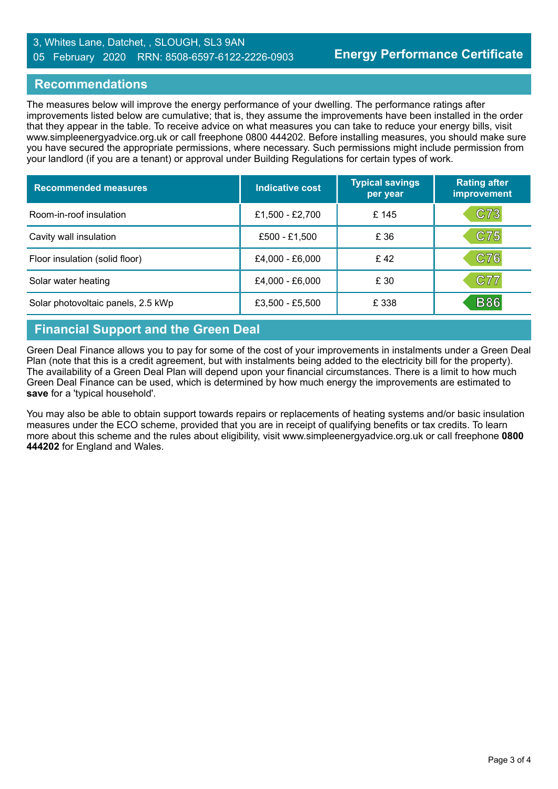#### 3, Whites Lane, Datchet, , SLOUGH, SL3 9AN 05 February 2020 RRN: 8508-6597-6122-2226-0903

#### **Recommendations**

The measures below will improve the energy performance of your dwelling. The performance ratings after improvements listed below are cumulative; that is, they assume the improvements have been installed in the order that they appear in the table. To receive advice on what measures you can take to reduce your energy bills, visit www.simpleenergyadvice.org.uk or call freephone 0800 444202. Before installing measures, you should make sure you have secured the appropriate permissions, where necessary. Such permissions might include permission from your landlord (if you are a tenant) or approval under Building Regulations for certain types of work.

| <b>Recommended measures</b>        | Indicative cost | <b>Typical savings</b><br>per year | <b>Rating after</b><br>improvement |
|------------------------------------|-----------------|------------------------------------|------------------------------------|
| Room-in-roof insulation            | £1,500 - £2,700 | £ 145                              | C73                                |
| Cavity wall insulation             | £500 - £1,500   | £ 36                               | C75                                |
| Floor insulation (solid floor)     | £4,000 - £6,000 | £42                                | C76                                |
| Solar water heating                | £4,000 - £6,000 | £ 30                               | C77                                |
| Solar photovoltaic panels, 2.5 kWp | £3,500 - £5,500 | £ 338                              | <b>B86</b>                         |

# **Financial Support and the Green Deal**

Green Deal Finance allows you to pay for some of the cost of your improvements in instalments under a Green Deal Plan (note that this is a credit agreement, but with instalments being added to the electricity bill for the property). The availability of a Green Deal Plan will depend upon your financial circumstances. There is a limit to how much Green Deal Finance can be used, which is determined by how much energy the improvements are estimated to **save** for a 'typical household'.

You may also be able to obtain support towards repairs or replacements of heating systems and/or basic insulation measures under the ECO scheme, provided that you are in receipt of qualifying benefits or tax credits. To learn more about this scheme and the rules about eligibility, visit www.simpleenergyadvice.org.uk or call freephone **0800 444202** for England and Wales.